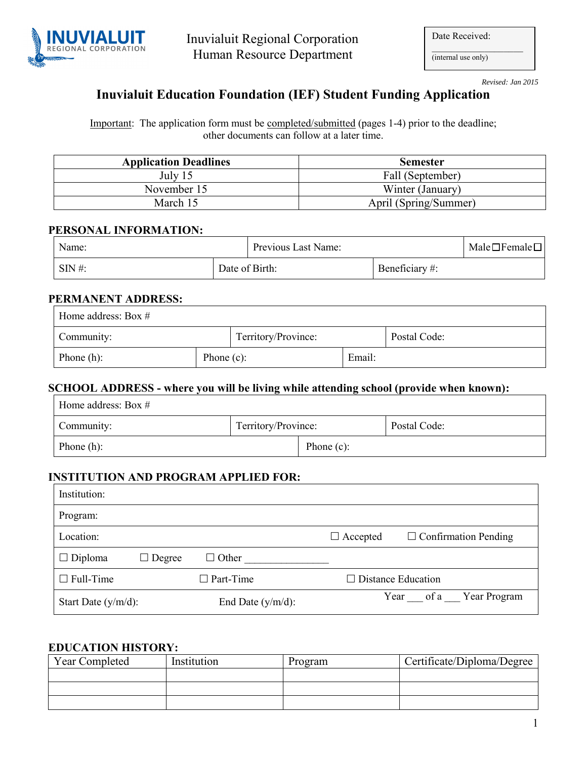

| Date Received: |  |
|----------------|--|
|                |  |

(internal use only)

*Revised: Jan 2015* 

## **Inuvialuit Education Foundation (IEF) Student Funding Application**

Important: The application form must be completed/submitted (pages 1-4) prior to the deadline; other documents can follow at a later time.

| <b>Application Deadlines</b> | <b>Semester</b>       |
|------------------------------|-----------------------|
| July 15                      | Fall (September)      |
| November 15                  | Winter (January)      |
| March 15                     | April (Spring/Summer) |

#### **PERSONAL INFORMATION:**

| Name:      |                | Previous Last Name: |                | $Male \Box Female \Box$ |
|------------|----------------|---------------------|----------------|-------------------------|
| $SIN \#$ : | Date of Birth: |                     | Beneficiary #: |                         |

#### **PERMANENT ADDRESS:**

| Home address: Box $#$ |               |                     |        |              |
|-----------------------|---------------|---------------------|--------|--------------|
| Community:            |               | Territory/Province: |        | Postal Code: |
| Phone $(h)$ :         | Phone $(c)$ : |                     | Email: |              |

#### **SCHOOL ADDRESS - where you will be living while attending school (provide when known):**

| Home address: Box $#$ |                     |               |              |
|-----------------------|---------------------|---------------|--------------|
| Community:            | Territory/Province: |               | Postal Code: |
| Phone $(h)$ :         |                     | Phone $(c)$ : |              |

## **INSTITUTION AND PROGRAM APPLIED FOR:**

| Institution:           |                               |                                                |
|------------------------|-------------------------------|------------------------------------------------|
| Program:               |                               |                                                |
| Location:              |                               | $\Box$ Confirmation Pending<br>$\Box$ Accepted |
| $\Box$ Diploma         | $\Box$ Other<br>$\Box$ Degree |                                                |
| $\Box$ Full-Time       | $\Box$ Part-Time              | $\Box$ Distance Education                      |
| Start Date $(y/m/d)$ : | End Date $(y/m/d)$ :          | Year of a Year Program                         |

#### **EDUCATION HISTORY:**

| Year Completed | Institution | Program | Certificate/Diploma/Degree |
|----------------|-------------|---------|----------------------------|
|                |             |         |                            |
|                |             |         |                            |
|                |             |         |                            |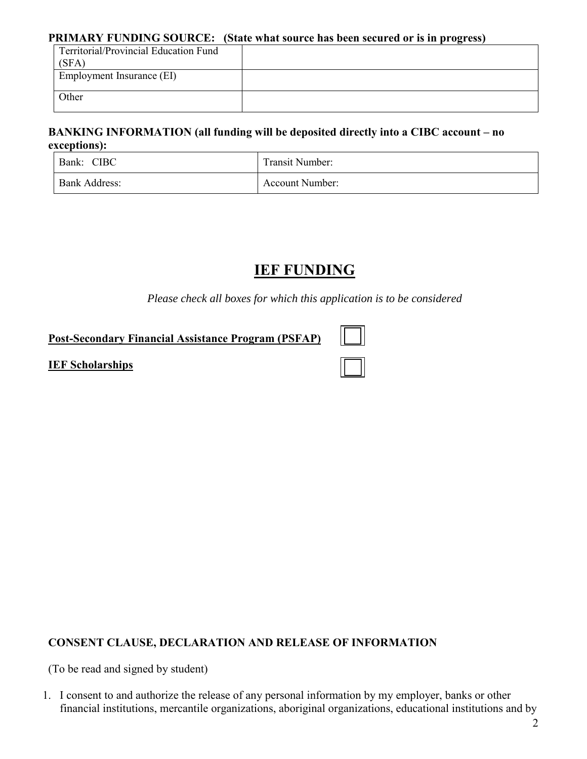#### **PRIMARY FUNDING SOURCE: (State what source has been secured or is in progress)**

| Territorial/Provincial Education Fund |  |  |
|---------------------------------------|--|--|
| (SFA)                                 |  |  |
| Employment Insurance (EI)             |  |  |
|                                       |  |  |
| Other                                 |  |  |
|                                       |  |  |

## **BANKING INFORMATION (all funding will be deposited directly into a CIBC account – no exceptions):**

| <b>CIBC</b><br>Bank: | Transit Number: |
|----------------------|-----------------|
| <b>Bank Address:</b> | Account Number: |

# **IEF FUNDING**

*Please check all boxes for which this application is to be considered* 

## **Post-Secondary Financial Assistance Program (PSFAP)**

## **IEF Scholarships**

# **CONSENT CLAUSE, DECLARATION AND RELEASE OF INFORMATION**

(To be read and signed by student)

1. I consent to and authorize the release of any personal information by my employer, banks or other financial institutions, mercantile organizations, aboriginal organizations, educational institutions and by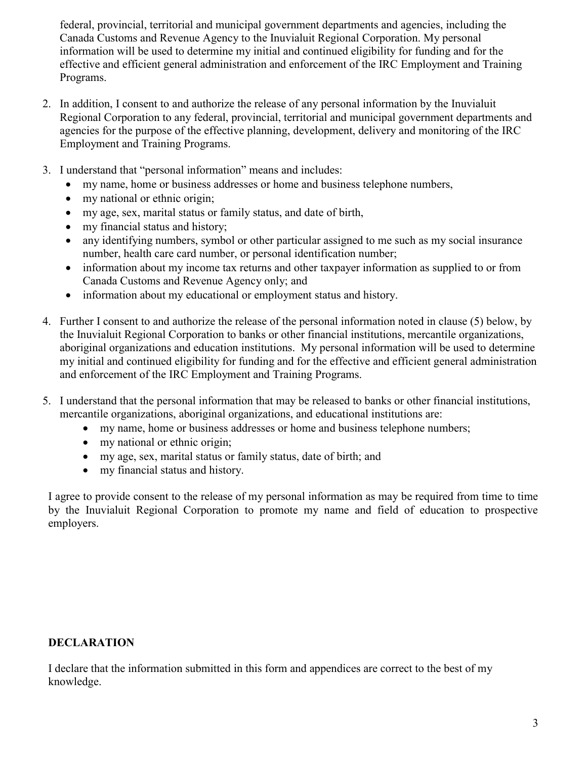federal, provincial, territorial and municipal government departments and agencies, including the Canada Customs and Revenue Agency to the Inuvialuit Regional Corporation. My personal information will be used to determine my initial and continued eligibility for funding and for the effective and efficient general administration and enforcement of the IRC Employment and Training Programs.

- 2. In addition, I consent to and authorize the release of any personal information by the Inuvialuit Regional Corporation to any federal, provincial, territorial and municipal government departments and agencies for the purpose of the effective planning, development, delivery and monitoring of the IRC Employment and Training Programs.
- 3. I understand that "personal information" means and includes:
	- my name, home or business addresses or home and business telephone numbers,
	- my national or ethnic origin;
	- my age, sex, marital status or family status, and date of birth,
	- my financial status and history;
	- any identifying numbers, symbol or other particular assigned to me such as my social insurance number, health care card number, or personal identification number;
	- information about my income tax returns and other taxpayer information as supplied to or from Canada Customs and Revenue Agency only; and
	- information about my educational or employment status and history.
- 4. Further I consent to and authorize the release of the personal information noted in clause (5) below, by the Inuvialuit Regional Corporation to banks or other financial institutions, mercantile organizations, aboriginal organizations and education institutions. My personal information will be used to determine my initial and continued eligibility for funding and for the effective and efficient general administration and enforcement of the IRC Employment and Training Programs.
- 5. I understand that the personal information that may be released to banks or other financial institutions, mercantile organizations, aboriginal organizations, and educational institutions are:
	- my name, home or business addresses or home and business telephone numbers;
	- my national or ethnic origin;
	- my age, sex, marital status or family status, date of birth; and
	- my financial status and history.

I agree to provide consent to the release of my personal information as may be required from time to time by the Inuvialuit Regional Corporation to promote my name and field of education to prospective employers.

## **DECLARATION**

I declare that the information submitted in this form and appendices are correct to the best of my knowledge.